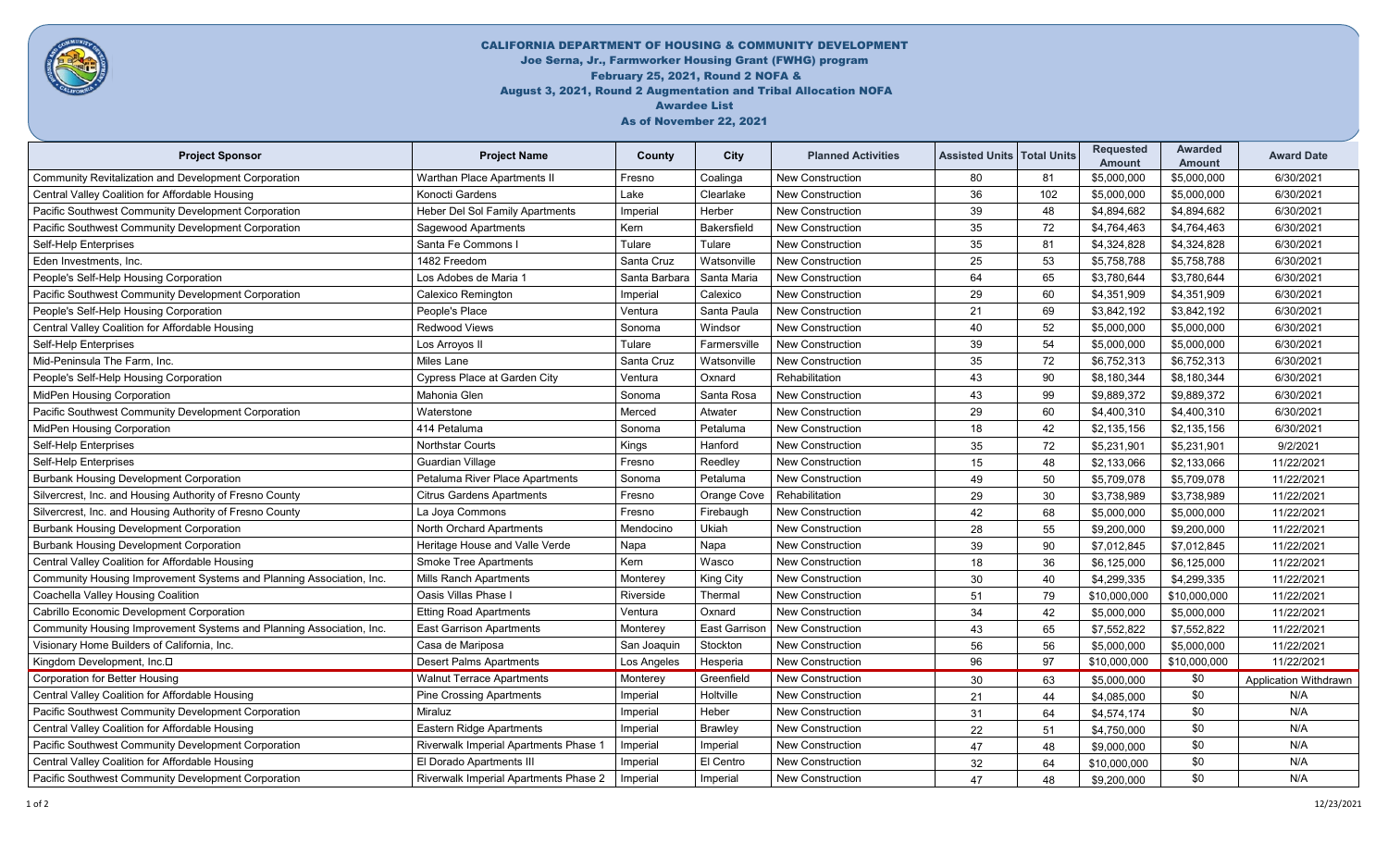

## CALIFORNIA DEPARTMENT OF HOUSING & COMMUNITY DEVELOPMENT Joe Serna, Jr., Farmworker Housing Grant (FWHG) program February 25, 2021, Round 2 NOFA & August 3, 2021, Round 2 Augmentation and Tribal Allocation NOFA Awardee List As of November 22, 2021

| <b>Project Sponsor</b>                                               | <b>Project Name</b>                    | County        | City                 | <b>Planned Activities</b> | <b>Assisted Units   Total Units</b> |     | <b>Requested</b><br>Amount | Awarded<br><b>Amount</b> | <b>Award Date</b>     |
|----------------------------------------------------------------------|----------------------------------------|---------------|----------------------|---------------------------|-------------------------------------|-----|----------------------------|--------------------------|-----------------------|
| <b>Community Revitalization and Development Corporation</b>          | Warthan Place Apartments II            | Fresno        | Coalinga             | <b>New Construction</b>   | 80                                  | 81  | \$5,000,000                | \$5,000,000              | 6/30/2021             |
| Central Valley Coalition for Affordable Housing                      | Konocti Gardens                        | Lake          | Clearlake            | New Construction          | 36                                  | 102 | \$5,000,000                | \$5,000,000              | 6/30/2021             |
| Pacific Southwest Community Development Corporation                  | <b>Heber Del Sol Family Apartments</b> | Imperial      | Herber               | <b>New Construction</b>   | 39                                  | 48  | \$4,894,682                | \$4,894,682              | 6/30/2021             |
| Pacific Southwest Community Development Corporation                  | Sagewood Apartments                    | Kern          | Bakersfield          | <b>New Construction</b>   | 35                                  | 72  | \$4,764,463                | \$4,764,463              | 6/30/2021             |
| Self-Help Enterprises                                                | Santa Fe Commons I                     | Tulare        | Tulare               | New Construction          | 35                                  | 81  | \$4,324,828                | \$4,324,828              | 6/30/2021             |
| Eden Investments, Inc.                                               | 1482 Freedom                           | Santa Cruz    | Watsonville          | <b>New Construction</b>   | 25                                  | 53  | \$5,758,788                | \$5,758,788              | 6/30/2021             |
| People's Self-Help Housing Corporation                               | Los Adobes de Maria 1                  | Santa Barbara | Santa Maria          | New Construction          | 64                                  | 65  | \$3,780,644                | \$3,780,644              | 6/30/2021             |
| <b>Pacific Southwest Community Development Corporation</b>           | Calexico Remington                     | Imperial      | Calexico             | <b>New Construction</b>   | 29                                  | 60  | \$4,351,909                | \$4,351,909              | 6/30/2021             |
| People's Self-Help Housing Corporation                               | People's Place                         | Ventura       | Santa Paula          | <b>New Construction</b>   | 21                                  | 69  | \$3,842,192                | \$3,842,192              | 6/30/2021             |
| Central Valley Coalition for Affordable Housing                      | <b>Redwood Views</b>                   | Sonoma        | Windsor              | <b>New Construction</b>   | 40                                  | 52  | \$5,000,000                | \$5,000,000              | 6/30/2021             |
| Self-Help Enterprises                                                | Los Arroyos II                         | Tulare        | Farmersville         | <b>New Construction</b>   | 39                                  | 54  | \$5,000,000                | \$5,000,000              | 6/30/2021             |
| Mid-Peninsula The Farm, Inc.                                         | <b>Miles Lane</b>                      | Santa Cruz    | Watsonville          | <b>New Construction</b>   | 35                                  | 72  | \$6,752,313                | \$6,752,313              | 6/30/2021             |
| People's Self-Help Housing Corporation                               | Cypress Place at Garden City           | Ventura       | Oxnard               | Rehabilitation            | 43                                  | 90  | \$8,180,344                | \$8,180,344              | 6/30/2021             |
| <b>MidPen Housing Corporation</b>                                    | Mahonia Glen                           | Sonoma        | Santa Rosa           | <b>New Construction</b>   | 43                                  | 99  | \$9,889,372                | \$9,889,372              | 6/30/2021             |
| Pacific Southwest Community Development Corporation                  | Waterstone                             | Merced        | Atwater              | <b>New Construction</b>   | 29                                  | 60  | \$4,400,310                | \$4,400,310              | 6/30/2021             |
| <b>MidPen Housing Corporation</b>                                    | 414 Petaluma                           | Sonoma        | Petaluma             | <b>New Construction</b>   | 18                                  | 42  | \$2,135,156                | \$2,135,156              | 6/30/2021             |
| Self-Help Enterprises                                                | Northstar Courts                       | Kings         | Hanford              | <b>New Construction</b>   | 35                                  | 72  | \$5,231,901                | \$5.231.901              | 9/2/2021              |
| Self-Help Enterprises                                                | Guardian Village                       | Fresno        | Reedley              | <b>New Construction</b>   | 15                                  | 48  | \$2,133,066                | \$2,133,066              | 11/22/2021            |
| <b>Burbank Housing Development Corporation</b>                       | Petaluma River Place Apartments        | Sonoma        | Petaluma             | <b>New Construction</b>   | 49                                  | 50  | \$5,709,078                | \$5,709,078              | 11/22/2021            |
| Silvercrest, Inc. and Housing Authority of Fresno County             | <b>Citrus Gardens Apartments</b>       | Fresno        | Orange Cove          | Rehabilitation            | 29                                  | 30  | \$3,738,989                | \$3,738,989              | 11/22/2021            |
| Silvercrest, Inc. and Housing Authority of Fresno County             | La Joya Commons                        | Fresno        | Firebaugh            | <b>New Construction</b>   | 42                                  | 68  | \$5,000,000                | \$5,000,000              | 11/22/2021            |
| <b>Burbank Housing Development Corporation</b>                       | North Orchard Apartments               | Mendocino     | Ukiah                | <b>New Construction</b>   | 28                                  | 55  | \$9,200,000                | \$9,200,000              | 11/22/2021            |
| <b>Burbank Housing Development Corporation</b>                       | Heritage House and Valle Verde         | Napa          | Napa                 | <b>New Construction</b>   | 39                                  | 90  | \$7,012,845                | \$7,012,845              | 11/22/2021            |
| Central Valley Coalition for Affordable Housing                      | <b>Smoke Tree Apartments</b>           | Kern          | Wasco                | <b>New Construction</b>   | 18                                  | 36  | \$6,125,000                | \$6,125,000              | 11/22/2021            |
| Community Housing Improvement Systems and Planning Association, Inc. | <b>Mills Ranch Apartments</b>          | Monterey      | <b>King City</b>     | <b>New Construction</b>   | 30                                  | 40  | \$4,299,335                | \$4,299,335              | 11/22/2021            |
| Coachella Valley Housing Coalition                                   | Oasis Villas Phase I                   | Riverside     | Thermal              | <b>New Construction</b>   | 51                                  | 79  | \$10,000,000               | \$10,000,000             | 11/22/2021            |
| Cabrillo Economic Development Corporation                            | <b>Etting Road Apartments</b>          | Ventura       | Oxnard               | <b>New Construction</b>   | 34                                  | 42  | \$5,000,000                | \$5,000,000              | 11/22/2021            |
| Community Housing Improvement Systems and Planning Association, Inc. | <b>East Garrison Apartments</b>        | Monterey      | <b>East Garrisor</b> | <b>New Construction</b>   | 43                                  | 65  | \$7,552,822                | \$7,552,822              | 11/22/2021            |
| Visionary Home Builders of California, Inc.                          | Casa de Mariposa                       | San Joaquin   | Stockton             | <b>New Construction</b>   | 56                                  | 56  | \$5,000,000                | \$5,000,000              | 11/22/2021            |
| Kingdom Development, Inc.D                                           | <b>Desert Palms Apartments</b>         | Los Angeles   | Hesperia             | <b>New Construction</b>   | 96                                  | 97  | \$10,000,000               | \$10,000,000             | 11/22/2021            |
| <b>Corporation for Better Housing</b>                                | <b>Walnut Terrace Apartments</b>       | Monterey      | Greenfield           | <b>New Construction</b>   | 30                                  | 63  | \$5,000,000                | \$0                      | Application Withdrawn |
| Central Valley Coalition for Affordable Housing                      | Pine Crossing Apartments               | Imperial      | Holtville            | <b>New Construction</b>   | 21                                  | 44  | \$4,085,000                | \$0                      | N/A                   |
| Pacific Southwest Community Development Corporation                  | Miraluz                                | Imperial      | Heber                | <b>New Construction</b>   | 31                                  | 64  | \$4,574,174                | \$0                      | N/A                   |
| Central Valley Coalition for Affordable Housing                      | Eastern Ridge Apartments               | Imperial      | <b>Brawley</b>       | <b>New Construction</b>   | 22                                  | 51  | \$4,750,000                | \$0                      | N/A                   |
| Pacific Southwest Community Development Corporation                  | Riverwalk Imperial Apartments Phase 1  | Imperial      | Imperial             | <b>New Construction</b>   | 47                                  | 48  | \$9,000,000                | \$0                      | N/A                   |
| Central Valley Coalition for Affordable Housing                      | El Dorado Apartments III               | Imperial      | El Centro            | <b>New Construction</b>   | 32                                  | 64  | \$10,000,000               | \$0                      | N/A                   |
| Pacific Southwest Community Development Corporation                  | Riverwalk Imperial Apartments Phase 2  | Imperial      | Imperial             | <b>New Construction</b>   | 47                                  | 48  | \$9.200.000                | \$0                      | N/A                   |